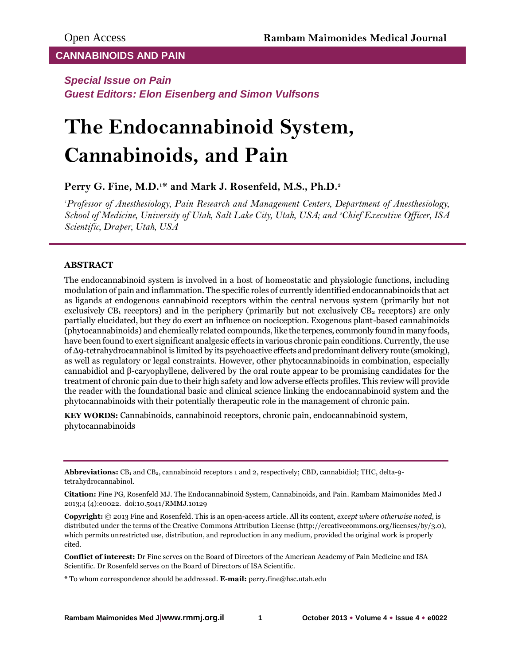# **CANNABINOIDS AND PAIN**

*Special Issue on Pain Guest Editors: Elon Eisenberg and Simon Vulfsons*

# **The Endocannabinoid System, Cannabinoids, and Pain**

## **Perry G. Fine, M.D.1\* and Mark J. Rosenfeld, M.S., Ph.D.<sup>2</sup>**

*<sup>1</sup>Professor of Anesthesiology, Pain Research and Management Centers, Department of Anesthesiology, School of Medicine, University of Utah, Salt Lake City, Utah, USA; and 2Chief Executive Officer, ISA Scientific, Draper, Utah, USA*

#### **ABSTRACT**

The endocannabinoid system is involved in a host of homeostatic and physiologic functions, including modulation of pain and inflammation. The specific roles of currently identified endocannabinoids that act as ligands at endogenous cannabinoid receptors within the central nervous system (primarily but not exclusively  $CB_1$  receptors) and in the periphery (primarily but not exclusively  $CB_2$  receptors) are only partially elucidated, but they do exert an influence on nociception. Exogenous plant-based cannabinoids (phytocannabinoids) and chemically related compounds, like the terpenes, commonly found in many foods, have been found to exert significant analgesic effects in various chronic pain conditions. Currently, the use of Δ9-tetrahydrocannabinol is limited by its psychoactive effects and predominant delivery route (smoking), as well as regulatory or legal constraints. However, other phytocannabinoids in combination, especially cannabidiol and β-caryophyllene, delivered by the oral route appear to be promising candidates for the treatment of chronic pain due to their high safety and low adverse effects profiles. This review will provide the reader with the foundational basic and clinical science linking the endocannabinoid system and the phytocannabinoids with their potentially therapeutic role in the management of chronic pain.

**KEY WORDS:** Cannabinoids, cannabinoid receptors, chronic pain, endocannabinoid system, phytocannabinoids

**Conflict of interest:** Dr Fine serves on the Board of Directors of the American Academy of Pain Medicine and ISA Scientific. Dr Rosenfeld serves on the Board of Directors of ISA Scientific.

\* To whom correspondence should be addressed. **E-mail:** perry.fine@hsc.utah.edu

Abbreviations: CB<sub>1</sub> and CB<sub>2</sub>, cannabinoid receptors 1 and 2, respectively; CBD, cannabidiol; THC, delta-9tetrahydrocannabinol.

**Citation:** Fine PG, Rosenfeld MJ. The Endocannabinoid System, Cannabinoids, and Pain. Rambam Maimonides Med J 2013;4 (4):e0022. doi:10.5041/RMMJ.10129

**Copyright:** © 2013 Fine and Rosenfeld. This is an open-access article. All its content, *except where otherwise noted*, is distributed under the terms of the Creative Commons Attribution License (http://creativecommons.org/licenses/by/3.0), which permits unrestricted use, distribution, and reproduction in any medium, provided the original work is properly cited.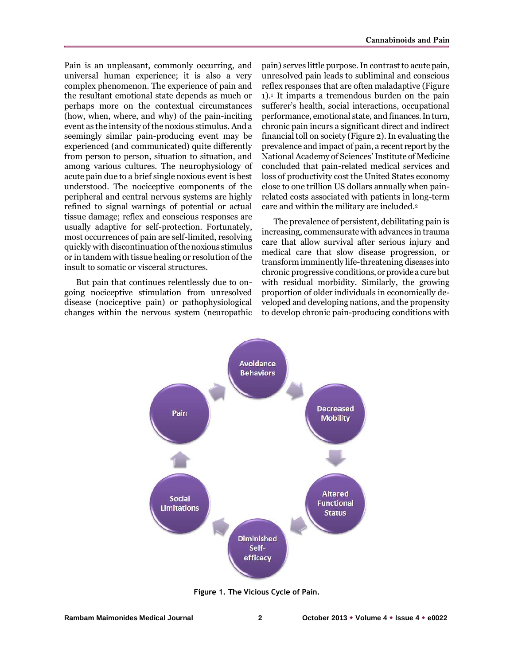Pain is an unpleasant, commonly occurring, and universal human experience; it is also a very complex phenomenon. The experience of pain and the resultant emotional state depends as much or perhaps more on the contextual circumstances (how, when, where, and why) of the pain-inciting event as the intensity of the noxious stimulus. And a seemingly similar pain-producing event may be experienced (and communicated) quite differently from person to person, situation to situation, and among various cultures. The neurophysiology of acute pain due to a brief single noxious event is best understood. The nociceptive components of the peripheral and central nervous systems are highly refined to signal warnings of potential or actual tissue damage; reflex and conscious responses are usually adaptive for self-protection. Fortunately, most occurrences of pain are self-limited, resolving quickly with discontinuation of the noxious stimulus or in tandem with tissue healing or resolution of the insult to somatic or visceral structures.

But pain that continues relentlessly due to ongoing nociceptive stimulation from unresolved disease (nociceptive pain) or pathophysiological changes within the nervous system (neuropathic pain) serves little purpose. In contrast to acute pain, unresolved pain leads to subliminal and conscious reflex responses that are often maladaptive (Figure 1).<sup>1</sup> It imparts a tremendous burden on the pain sufferer's health, social interactions, occupational performance, emotional state, and finances. In turn, chronic pain incurs a significant direct and indirect financial toll on society (Figure 2). In evaluating the prevalence and impact of pain, a recent report by the National Academy of Sciences' Institute of Medicine concluded that pain-related medical services and loss of productivity cost the United States economy close to one trillion US dollars annually when painrelated costs associated with patients in long-term care and within the military are included.<sup>2</sup>

The prevalence of persistent, debilitating pain is increasing, commensurate with advances in trauma care that allow survival after serious injury and medical care that slow disease progression, or transform imminently life-threatening diseases into chronic progressive conditions, or provide a cure but with residual morbidity. Similarly, the growing proportion of older individuals in economically developed and developing nations, and the propensity to develop chronic pain-producing conditions with



**Figure 1. The Vicious Cycle of Pain.**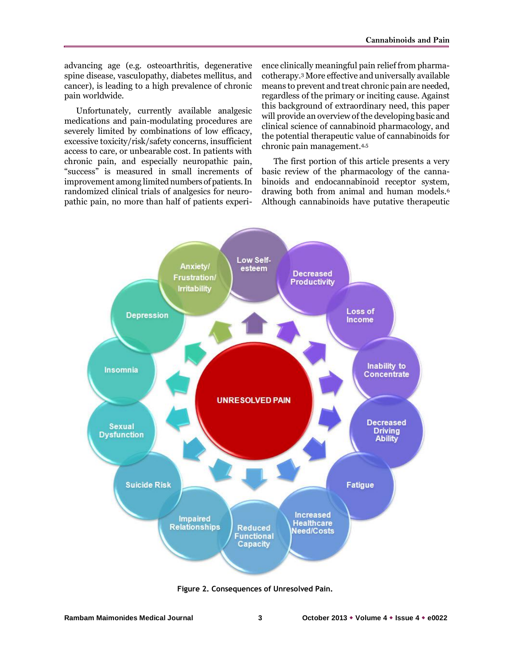advancing age (e.g. osteoarthritis, degenerative spine disease, vasculopathy, diabetes mellitus, and cancer), is leading to a high prevalence of chronic pain worldwide.

Unfortunately, currently available analgesic medications and pain-modulating procedures are severely limited by combinations of low efficacy, excessive toxicity/risk/safety concerns, insufficient access to care, or unbearable cost. In patients with chronic pain, and especially neuropathic pain, "success" is measured in small increments of improvement among limited numbers of patients. In randomized clinical trials of analgesics for neuropathic pain, no more than half of patients experience clinically meaningful pain relief from pharmacotherapy.<sup>3</sup> More effective and universally available means to prevent and treat chronic pain are needed, regardless of the primary or inciting cause. Against this background of extraordinary need, this paper will provide an overview of the developing basic and clinical science of cannabinoid pharmacology, and the potential therapeutic value of cannabinoids for chronic pain management.4,5

The first portion of this article presents a very basic review of the pharmacology of the cannabinoids and endocannabinoid receptor system, drawing both from animal and human models.<sup>6</sup> Although cannabinoids have putative therapeutic



**Figure 2. Consequences of Unresolved Pain.**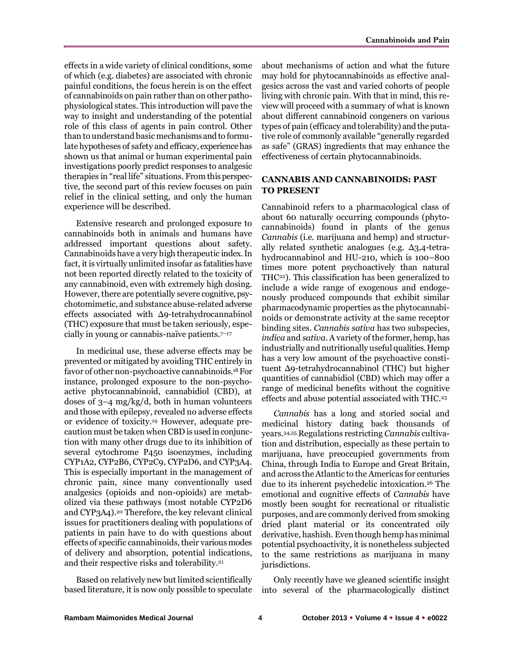effects in a wide variety of clinical conditions, some of which (e.g. diabetes) are associated with chronic painful conditions, the focus herein is on the effect of cannabinoids on pain rather than on other pathophysiological states. This introduction will pave the way to insight and understanding of the potential role of this class of agents in pain control. Other than to understand basic mechanisms and to formulate hypotheses of safety and efficacy, experience has shown us that animal or human experimental pain investigations poorly predict responses to analgesic therapies in "real life" situations. From this perspective, the second part of this review focuses on pain relief in the clinical setting, and only the human experience will be described.

Extensive research and prolonged exposure to cannabinoids both in animals and humans have addressed important questions about safety. Cannabinoids have a very high therapeutic index. In fact, it is virtually unlimited insofar as fatalities have not been reported directly related to the toxicity of any cannabinoid, even with extremely high dosing. However, there are potentially severe cognitive, psychotomimetic, and substance abuse-related adverse effects associated with Δ9-tetrahydrocannabinol (THC) exposure that must be taken seriously, especially in young or cannabis-naïve patients.7–<sup>17</sup>

In medicinal use, these adverse effects may be prevented or mitigated by avoiding THC entirely in favor of other non-psychoactive cannabinoids.18For instance, prolonged exposure to the non-psychoactive phytocannabinoid, cannabidiol (CBD), at doses of 3–4 mg/kg/d, both in human volunteers and those with epilepsy, revealed no adverse effects or evidence of toxicity.<sup>19</sup> However, adequate precaution must be taken when CBD is used in conjunction with many other drugs due to its inhibition of several cytochrome P450 isoenzymes, including CYP1A2, CYP2B6, CYP2C9, CYP2D6, and CYP3A4. This is especially important in the management of chronic pain, since many conventionally used analgesics (opioids and non-opioids) are metabolized via these pathways (most notable CYP2D6 and CYP3A4).<sup>20</sup> Therefore, the key relevant clinical issues for practitioners dealing with populations of patients in pain have to do with questions about effects of specific cannabinoids, their various modes of delivery and absorption, potential indications, and their respective risks and tolerability.<sup>21</sup>

Based on relatively new but limited scientifically based literature, it is now only possible to speculate about mechanisms of action and what the future may hold for phytocannabinoids as effective analgesics across the vast and varied cohorts of people living with chronic pain. With that in mind, this review will proceed with a summary of what is known about different cannabinoid congeners on various types of pain (efficacy and tolerability) and the putative role of commonly available "generally regarded as safe" (GRAS) ingredients that may enhance the effectiveness of certain phytocannabinoids.

#### **CANNABIS AND CANNABINOIDS: PAST TO PRESENT**

Cannabinoid refers to a pharmacological class of about 60 naturally occurring compounds (phytocannabinoids) found in plants of the genus *Cannabis* (i.e. marijuana and hemp) and structurally related synthetic analogues (e.g.  $\Delta$ 3,4-tetrahydrocannabinol and HU-210, which is 100–800 times more potent psychoactively than natural THC22). This classification has been generalized to include a wide range of exogenous and endogenously produced compounds that exhibit similar pharmacodynamic properties as the phytocannabinoids or demonstrate activity at the same receptor binding sites. *Cannabis sativa* has two subspecies, *indica* and *sativa*. A variety of the former, hemp, has industrially and nutritionally useful qualities. Hemp has a very low amount of the psychoactive constituent Δ9-tetrahydrocannabinol (THC) but higher quantities of cannabidiol (CBD) which may offer a range of medicinal benefits without the cognitive effects and abuse potential associated with THC.<sup>23</sup>

*Cannabis* has a long and storied social and medicinal history dating back thousands of years.24,25 Regulations restricting *Cannabis* cultivation and distribution, especially as these pertain to marijuana, have preoccupied governments from China, through India to Europe and Great Britain, and across the Atlantic to the Americas for centuries due to its inherent psychedelic intoxication.<sup>26</sup> The emotional and cognitive effects of *Cannabis* have mostly been sought for recreational or ritualistic purposes, and are commonly derived from smoking dried plant material or its concentrated oily derivative, hashish. Even though hemp has minimal potential psychoactivity, it is nonetheless subjected to the same restrictions as marijuana in many jurisdictions.

Only recently have we gleaned scientific insight into several of the pharmacologically distinct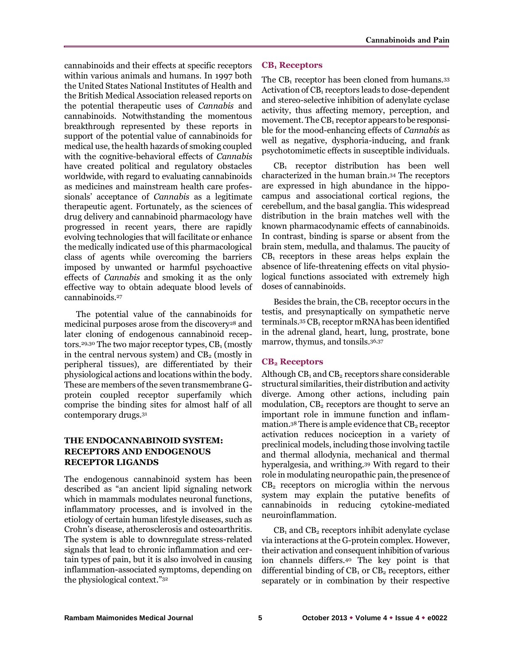cannabinoids and their effects at specific receptors within various animals and humans. In 1997 both the United States National Institutes of Health and the British Medical Association released reports on the potential therapeutic uses of *Cannabis* and cannabinoids. Notwithstanding the momentous breakthrough represented by these reports in support of the potential value of cannabinoids for medical use, the health hazards of smoking coupled with the cognitive-behavioral effects of *Cannabis* have created political and regulatory obstacles worldwide, with regard to evaluating cannabinoids as medicines and mainstream health care professionals' acceptance of *Cannabis* as a legitimate therapeutic agent. Fortunately, as the sciences of drug delivery and cannabinoid pharmacology have progressed in recent years, there are rapidly evolving technologies that will facilitate or enhance the medically indicated use of this pharmacological class of agents while overcoming the barriers imposed by unwanted or harmful psychoactive effects of *Cannabis* and smoking it as the only effective way to obtain adequate blood levels of cannabinoids.<sup>27</sup>

The potential value of the cannabinoids for medicinal purposes arose from the discovery<sup>28</sup> and later cloning of endogenous cannabinoid receptors.<sup>29,30</sup> The two major receptor types,  $CB_1$  (mostly in the central nervous system) and  $CB<sub>2</sub>$  (mostly in peripheral tissues), are differentiated by their physiological actions and locations within the body. These are members of the seven transmembrane Gprotein coupled receptor superfamily which comprise the binding sites for almost half of all contemporary drugs.<sup>31</sup>

### **THE ENDOCANNABINOID SYSTEM: RECEPTORS AND ENDOGENOUS RECEPTOR LIGANDS**

The endogenous cannabinoid system has been described as "an ancient lipid signaling network which in mammals modulates neuronal functions, inflammatory processes, and is involved in the etiology of certain human lifestyle diseases, such as Crohn's disease, atherosclerosis and osteoarthritis. The system is able to downregulate stress-related signals that lead to chronic inflammation and certain types of pain, but it is also involved in causing inflammation-associated symptoms, depending on the physiological context."<sup>32</sup>

### **CB<sup>1</sup> Receptors**

The  $CB_1$  receptor has been cloned from humans.<sup>33</sup> Activation of  $CB_1$  receptors leads to dose-dependent and stereo-selective inhibition of adenylate cyclase activity, thus affecting memory, perception, and movement. The  $CB_1$  receptor appears to be responsible for the mood-enhancing effects of *Cannabis* as well as negative, dysphoria-inducing, and frank psychotomimetic effects in susceptible individuals.

 $CB_1$  receptor distribution has been well characterized in the human brain.<sup>34</sup> The receptors are expressed in high abundance in the hippocampus and associational cortical regions, the cerebellum, and the basal ganglia. This widespread distribution in the brain matches well with the known pharmacodynamic effects of cannabinoids. In contrast, binding is sparse or absent from the brain stem, medulla, and thalamus. The paucity of  $CB_1$  receptors in these areas helps explain the absence of life-threatening effects on vital physiological functions associated with extremely high doses of cannabinoids.

Besides the brain, the  $CB_1$  receptor occurs in the testis, and presynaptically on sympathetic nerve terminals. $35 \text{ CB}_1$  receptor mRNA has been identified in the adrenal gland, heart, lung, prostrate, bone marrow, thymus, and tonsils.36,37

### **CB<sup>2</sup> Receptors**

Although  $CB_1$  and  $CB_2$  receptors share considerable structural similarities, their distribution and activity diverge. Among other actions, including pain modulation,  $CB<sub>2</sub>$  receptors are thought to serve an important role in immune function and inflammation.<sup>38</sup> There is ample evidence that  $CB<sub>2</sub>$  receptor activation reduces nociception in a variety of preclinical models, including those involving tactile and thermal allodynia, mechanical and thermal hyperalgesia, and writhing.<sup>39</sup> With regard to their role in modulating neuropathic pain, the presence of  $CB<sub>2</sub>$  receptors on microglia within the nervous system may explain the putative benefits of cannabinoids in reducing cytokine-mediated neuroinflammation.

 $CB<sub>1</sub>$  and  $CB<sub>2</sub>$  receptors inhibit adenylate cyclase via interactions at the G-protein complex. However, their activation and consequent inhibition of various ion channels differs.<sup>40</sup> The key point is that differential binding of  $CB_1$  or  $CB_2$  receptors, either separately or in combination by their respective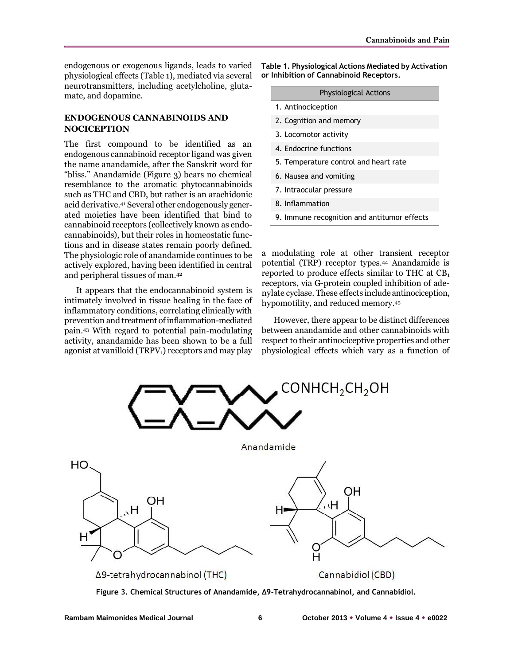endogenous or exogenous ligands, leads to varied physiological effects (Table 1), mediated via several neurotransmitters, including acetylcholine, glutamate, and dopamine.

### **ENDOGENOUS CANNABINOIDS AND NOCICEPTION**

The first compound to be identified as an endogenous cannabinoid receptor ligand was given the name anandamide, after the Sanskrit word for "bliss." Anandamide (Figure 3) bears no chemical resemblance to the aromatic phytocannabinoids such as THC and CBD, but rather is an arachidonic acid derivative.<sup>41</sup> Several other endogenously generated moieties have been identified that bind to cannabinoid receptors (collectively known as endocannabinoids), but their roles in homeostatic functions and in disease states remain poorly defined. The physiologic role of anandamide continues to be actively explored, having been identified in central and peripheral tissues of man.<sup>42</sup>

It appears that the endocannabinoid system is intimately involved in tissue healing in the face of inflammatory conditions, correlating clinically with prevention and treatment of inflammation-mediated pain.<sup>43</sup> With regard to potential pain-modulating activity, anandamide has been shown to be a full agonist at vanilloid (TRPV<sub>1</sub>) receptors and may play

**Table 1. Physiological Actions Mediated by Activation or Inhibition of Cannabinoid Receptors.**

#### Physiological Actions

- 1. Antinociception
- 2. Cognition and memory
- 3. Locomotor activity
- 4. Endocrine functions
- 5. Temperature control and heart rate
- 6. Nausea and vomiting
- 7. Intraocular pressure
- 8. Inflammation
- 9. Immune recognition and antitumor effects

a modulating role at other transient receptor potential (TRP) receptor types.<sup>44</sup> Anandamide is reported to produce effects similar to THC at  $CB<sub>1</sub>$ receptors, via G-protein coupled inhibition of adenylate cyclase. These effects include antinociception, hypomotility, and reduced memory.<sup>45</sup>

However, there appear to be distinct differences between anandamide and other cannabinoids with respect to their antinociceptive properties and other physiological effects which vary as a function of



**Figure 3. Chemical Structures of Anandamide, Δ9-Tetrahydrocannabinol, and Cannabidiol.**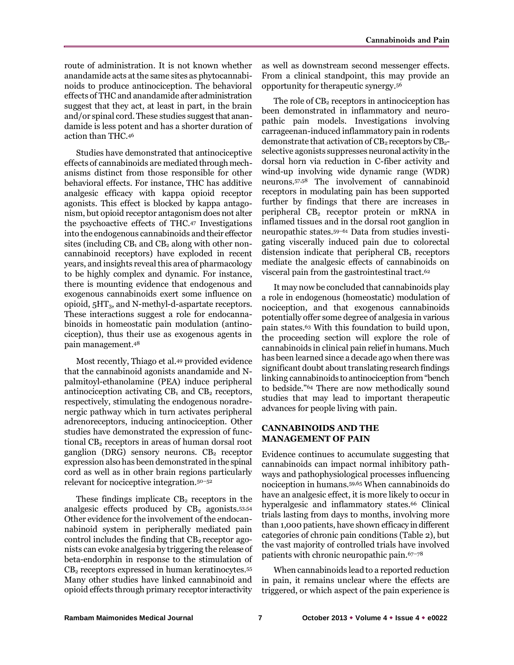route of administration. It is not known whether anandamide acts at the same sites as phytocannabinoids to produce antinociception. The behavioral effects of THC and anandamide after administration suggest that they act, at least in part, in the brain and/or spinal cord. These studies suggest that anandamide is less potent and has a shorter duration of action than THC.<sup>46</sup>

Studies have demonstrated that antinociceptive effects of cannabinoids are mediated through mechanisms distinct from those responsible for other behavioral effects. For instance, THC has additive analgesic efficacy with kappa opioid receptor agonists. This effect is blocked by kappa antagonism, but opioid receptor antagonism does not alter the psychoactive effects of THC.<sup>47</sup> Investigations into the endogenous cannabinoids and their effector sites (including  $CB_1$  and  $CB_2$  along with other noncannabinoid receptors) have exploded in recent years, and insights reveal this area of pharmacology to be highly complex and dynamic. For instance, there is mounting evidence that endogenous and exogenous cannabinoids exert some influence on opioid,  $5HT_3$ , and N-methyl-d-aspartate receptors. These interactions suggest a role for endocannabinoids in homeostatic pain modulation (antinociception), thus their use as exogenous agents in pain management.<sup>48</sup>

Most recently, Thiago et al.<sup>49</sup> provided evidence that the cannabinoid agonists anandamide and Npalmitoyl-ethanolamine (PEA) induce peripheral antinociception activating  $CB_1$  and  $CB_2$  receptors, respectively, stimulating the endogenous noradrenergic pathway which in turn activates peripheral adrenoreceptors, inducing antinociception. Other studies have demonstrated the expression of functional CB<sup>2</sup> receptors in areas of human dorsal root ganglion (DRG) sensory neurons.  $CB<sub>2</sub>$  receptor expression also has been demonstrated in the spinal cord as well as in other brain regions particularly relevant for nociceptive integration.50–<sup>52</sup>

These findings implicate  $CB<sub>2</sub>$  receptors in the analgesic effects produced by  $CB<sub>2</sub>$  agonists.<sup>53,54</sup> Other evidence for the involvement of the endocannabinoid system in peripherally mediated pain control includes the finding that  $CB<sub>2</sub>$  receptor agonists can evoke analgesia by triggering the release of beta-endorphin in response to the stimulation of CB<sub>2</sub> receptors expressed in human keratinocytes.<sup>55</sup> Many other studies have linked cannabinoid and opioid effects through primary receptor interactivity

as well as downstream second messenger effects. From a clinical standpoint, this may provide an opportunity for therapeutic synergy.<sup>56</sup>

The role of  $CB<sub>2</sub>$  receptors in antinociception has been demonstrated in inflammatory and neuropathic pain models. Investigations involving carrageenan-induced inflammatory pain in rodents demonstrate that activation of  $CB_2$  receptors by  $CB_2$ selective agonists suppresses neuronal activity in the dorsal horn via reduction in C-fiber activity and wind-up involving wide dynamic range (WDR) neurons.57,58 The involvement of cannabinoid receptors in modulating pain has been supported further by findings that there are increases in peripheral CB<sub>2</sub> receptor protein or mRNA in inflamed tissues and in the dorsal root ganglion in neuropathic states.59–<sup>61</sup> Data from studies investigating viscerally induced pain due to colorectal distension indicate that peripheral  $CB_1$  receptors mediate the analgesic effects of cannabinoids on visceral pain from the gastrointestinal tract.<sup>62</sup>

It may now be concluded that cannabinoids play a role in endogenous (homeostatic) modulation of nociception, and that exogenous cannabinoids potentially offer some degree of analgesia in various pain states.<sup>63</sup> With this foundation to build upon, the proceeding section will explore the role of cannabinoids in clinical pain relief in humans. Much has been learned since a decade ago when there was significant doubt about translating research findings linking cannabinoids to antinociception from "bench to bedside."<sup>64</sup> There are now methodically sound studies that may lead to important therapeutic advances for people living with pain.

#### **CANNABINOIDS AND THE MANAGEMENT OF PAIN**

Evidence continues to accumulate suggesting that cannabinoids can impact normal inhibitory pathways and pathophysiological processes influencing nociception in humans.59,65 When cannabinoids do have an analgesic effect, it is more likely to occur in hyperalgesic and inflammatory states.<sup>66</sup> Clinical trials lasting from days to months, involving more than 1,000 patients, have shown efficacy in different categories of chronic pain conditions (Table 2), but the vast majority of controlled trials have involved patients with chronic neuropathic pain.67–<sup>78</sup>

When cannabinoids lead to a reported reduction in pain, it remains unclear where the effects are triggered, or which aspect of the pain experience is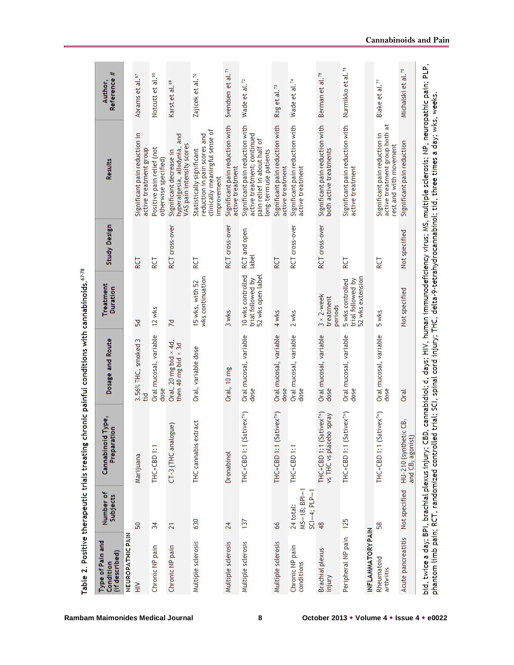| Type of Pain and<br>(if described)<br>Condition | Number of<br>Subjects                         | Cannabinoid Type,<br>Preparation                                | Dosage and Route                                           | Treatment<br>Duration                                       | Study Design          | Results                                                                                                                  | #<br>Reference<br>Author,      |
|-------------------------------------------------|-----------------------------------------------|-----------------------------------------------------------------|------------------------------------------------------------|-------------------------------------------------------------|-----------------------|--------------------------------------------------------------------------------------------------------------------------|--------------------------------|
| <b>NEUROPATHIC PAIN</b>                         |                                               |                                                                 |                                                            |                                                             |                       |                                                                                                                          |                                |
| HIV                                             | 50                                            | Marijuana                                                       | 3.56% THC, smoked 3                                        | 5d                                                          | RCT                   | Significant pain reduction in<br>active treatment group                                                                  | Abrams et al. <sup>67</sup>    |
| Chronic NP pain                                 | 34                                            | THC+CBD1:1                                                      | Oral mucosal, variable<br>dose                             | 12 wks                                                      | RCT                   | Positive pain relief (not<br>otherwise specified)                                                                        | Notcutt et al. <sup>68</sup>   |
| Chronic NP pain                                 | $\overline{21}$                               | CT-3 (THC analogue)                                             | Oral, 20 mg bid $\times$ 4d,<br>then 40 mg bid $\times$ 3d | $\overline{7d}$                                             | RCT cross-over        | hyperalgesia, allodynia, and<br>VAS pain intensity scores<br>Significant decrease in                                     | Karst et al. <sup>69</sup>     |
| Multiple sclerosis                              | 630                                           | THC cannabis extract                                            | Oral, variable dose                                        | wks continuation<br>15 wks, with 52                         | RCT                   | clinically meaningful sense of<br>reduction in pain scores and<br>Statistically significant<br>improvement               | Zajicek et al. <sup>70</sup>   |
| Multiple sclerosis                              | 24                                            | Dronabinol                                                      | Oral, 10 mg                                                | 3 wks                                                       | RCT cross-over        | Significant pain reduction with<br>active treatment                                                                      | Svendsen et al. <sup>71</sup>  |
| Multiple sclerosis                              | 137                                           | THC+CBD 1:1 (Sativex <sup>TM</sup> )                            | Oral mucosal, variable<br>dose                             | 10 wks controlled<br>52 wks open label<br>trial followed by | RCT and open<br>label | Significant pain reduction with<br>active treatment; continued<br>pain relief in about half of<br>long-term use patients | Wade et al. <sup>72</sup>      |
| Multiple sclerosis                              | 66                                            | THC+CBD 1:1 (Sativex <sup>TM</sup> )                            | Oral mucosal, variable<br>dose                             | 4 wks                                                       | RCT                   | Significant pain reduction with<br>active treatment                                                                      | Rog et al. <sup>73</sup>       |
| Chronic NP pain<br>conditions                   | $MS-18; BPI-1$<br>$SCI-4; PLP-1$<br>24 total: | THC+CBD1:1                                                      | Oral mucosal, variable<br>dose                             | 2 wks                                                       | RCT cross-over        | Significant pain reduction with<br>active treatment                                                                      | Wade et al. <sup>74</sup>      |
| Brachial plexus<br>injury                       | 48                                            | THC+CBD 1:1 (Sativex <sup>TM</sup> )<br>vs THC vs placebo spray | Oral mucosal, variable<br>dose                             | $3 \times 2$ -week<br>treatment<br>periods                  | RCT cross-over        | Significant pain reduction with<br>both active treatments                                                                | Berman et al. <sup>75</sup>    |
| Peripheral NP pain                              | 125                                           | THC+CBD 1:1 (Sativex <sup>TM</sup> )                            | Oral mucosal, variable<br>dose                             | 52 wks extension<br>5 wks controlled<br>trial followed by   | RCT                   | Significant pain reduction with<br>active treatment                                                                      | Nurmikko et al. <sup>76</sup>  |
| <b>INFLAMMATORY PAIN</b>                        |                                               |                                                                 |                                                            |                                                             |                       |                                                                                                                          |                                |
| Rheumatoid<br>arthritis                         | 58                                            | THC+CBD 1:1 (Sativex <sup>TM</sup> )                            | Oral mucosal, variable<br>dose                             | 5 wks                                                       | RCT                   | active treatment group both at<br>Significant pain reduction in<br>rest and with movement                                | Blake et al. <sup>77</sup>     |
| Acute pancreatitis                              | Not specified                                 | HU-210 (synthetic CB,<br>and CB <sub>2</sub> agonist)           | Oral                                                       | Not specified                                               | Not specified         | Significant pain reduction                                                                                               | Michalski et al. <sup>78</sup> |

**Rambam Maimonides Medical Journal 8 October 2013 Volume 4 Issue 4 e0022**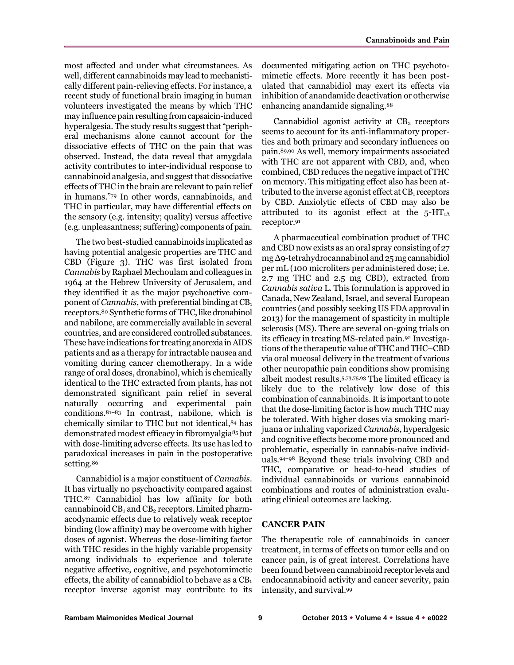most affected and under what circumstances. As well, different cannabinoids may lead to mechanistically different pain-relieving effects. For instance, a recent study of functional brain imaging in human volunteers investigated the means by which THC may influence pain resulting from capsaicin-induced hyperalgesia. The study results suggest that "peripheral mechanisms alone cannot account for the dissociative effects of THC on the pain that was observed. Instead, the data reveal that amygdala activity contributes to inter-individual response to cannabinoid analgesia, and suggest that dissociative effects of THC in the brain are relevant to pain relief in humans."<sup>79</sup> In other words, cannabinoids, and THC in particular, may have differential effects on the sensory (e.g. intensity; quality) versus affective (e.g. unpleasantness; suffering) components of pain.

The two best-studied cannabinoids implicated as having potential analgesic properties are THC and CBD (Figure 3). THC was first isolated from *Cannabis* by Raphael Mechoulam and colleagues in 1964 at the Hebrew University of Jerusalem, and they identified it as the major psychoactive component of *Cannabis*, with preferential binding at CB<sup>1</sup> receptors.<sup>80</sup> Synthetic forms of THC, like dronabinol and nabilone, are commercially available in several countries, and are considered controlled substances. These have indications for treating anorexia in AIDS patients and as a therapy for intractable nausea and vomiting during cancer chemotherapy. In a wide range of oral doses, dronabinol, which is chemically identical to the THC extracted from plants, has not demonstrated significant pain relief in several naturally occurring and experimental pain conditions.81–<sup>83</sup> In contrast, nabilone, which is chemically similar to THC but not identical,<sup>84</sup> has demonstrated modest efficacy in fibromyalgia<sup>85</sup> but with dose-limiting adverse effects. Its use has led to paradoxical increases in pain in the postoperative setting.<sup>86</sup>

Cannabidiol is a major constituent of *Cannabis*. It has virtually no psychoactivity compared against THC.<sup>87</sup> Cannabidiol has low affinity for both cannabinoid  $CB_1$  and  $CB_2$  receptors. Limited pharmacodynamic effects due to relatively weak receptor binding (low affinity) may be overcome with higher doses of agonist. Whereas the dose-limiting factor with THC resides in the highly variable propensity among individuals to experience and tolerate negative affective, cognitive, and psychotomimetic effects, the ability of cannabidiol to behave as a  $CB_1$ receptor inverse agonist may contribute to its

documented mitigating action on THC psychotomimetic effects. More recently it has been postulated that cannabidiol may exert its effects via inhibition of anandamide deactivation or otherwise enhancing anandamide signaling.<sup>88</sup>

Cannabidiol agonist activity at  $CB<sub>2</sub>$  receptors seems to account for its anti-inflammatory properties and both primary and secondary influences on pain.89,90 As well, memory impairments associated with THC are not apparent with CBD, and, when combined, CBD reduces the negative impact of THC on memory. This mitigating effect also has been attributed to the inverse agonist effect at  $CB_1$  receptors by CBD. Anxiolytic effects of CBD may also be attributed to its agonist effect at the  $5-HT_{1A}$  $5-HT_{1A}$ [receptor.](http://en.wikipedia.org/wiki/5-HT1A_receptor) 91

A pharmaceutical combination product of THC and CBD now exists as an oral spray consisting of 27 mg Δ9-tetrahydrocannabinol and 25 mg cannabidiol per mL (100 microliters per administered dose; i.e. 2.7 mg THC and 2.5 mg CBD), extracted from *Cannabis sativa* L. This formulation is approved in Canada, New Zealand, Israel, and several European countries (and possibly seeking US FDA approval in 2013) for the management of spasticity in multiple sclerosis (MS). There are several on-going trials on its efficacy in treating MS-related pain.<sup>92</sup> Investigations of the therapeutic value of THC and THC–CBD via oral mucosal delivery in the treatment of various other neuropathic pain conditions show promising albeit modest results.5,73,75,93 The limited efficacy is likely due to the relatively low dose of this combination of cannabinoids. It is important to note that the dose-limiting factor is how much THC may be tolerated. With higher doses via smoking marijuana or inhaling vaporized *Cannabis*, hyperalgesic and cognitive effects become more pronounced and problematic, especially in cannabis-naïve individuals.94–<sup>98</sup> Beyond these trials involving CBD and THC, comparative or head-to-head studies of individual cannabinoids or various cannabinoid combinations and routes of administration evaluating clinical outcomes are lacking.

#### **CANCER PAIN**

The therapeutic role of cannabinoids in cancer treatment, in terms of effects on tumor cells and on cancer pain, is of great interest. Correlations have been found between cannabinoid receptor levels and endocannabinoid activity and cancer severity, pain intensity, and survival.99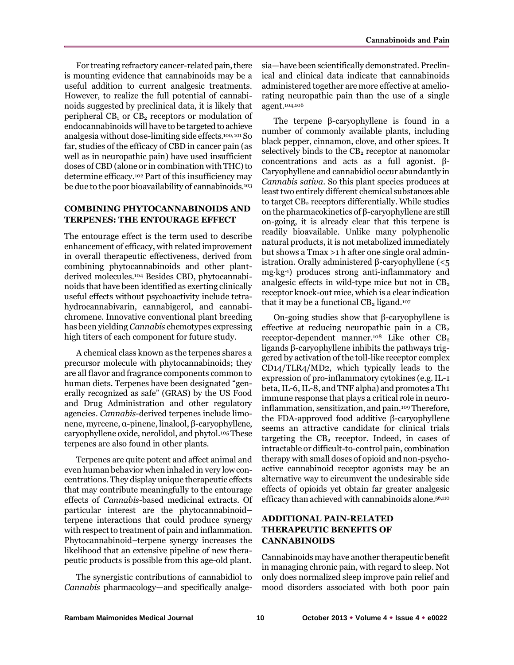For treating refractory cancer-related pain, there is mounting evidence that cannabinoids may be a useful addition to current analgesic treatments. However, to realize the full potential of cannabinoids suggested by preclinical data, it is likely that peripheral  $CB_1$  or  $CB_2$  receptors or modulation of endocannabinoids will have to be targeted to achieve analgesia without dose-limiting side effects.100, 101 So far, studies of the efficacy of CBD in cancer pain (as well as in neuropathic pain) have used insufficient doses of CBD (alone or in combination with THC) to determine efficacy.<sup>102</sup> Part of this insufficiency may be due to the poor bioavailability of cannabinoids.<sup>103</sup>

#### **COMBINING PHYTOCANNABINOIDS AND TERPENES: THE ENTOURAGE EFFECT**

The entourage effect is the term used to describe enhancement of efficacy, with related improvement in overall therapeutic effectiveness, derived from combining phytocannabinoids and other plantderived molecules.<sup>104</sup> Besides CBD, phytocannabinoids that have been identified as exerting clinically useful effects without psychoactivity include tetrahydrocannabivarin, cannabigerol, and cannabichromene. Innovative conventional plant breeding has been yielding *Cannabis* chemotypes expressing high titers of each component for future study.

A chemical class known as the terpenes shares a precursor molecule with phytocannabinoids; they are all flavor and fragrance components common to human diets. Terpenes have been designated "generally recognized as safe" (GRAS) by the US Food and Drug Administration and other regulatory agencies. *Cannabis*-derived terpenes include limonene, myrcene, α-pinene, linalool, β-caryophyllene, caryophyllene oxide, nerolidol, and phytol.<sup>105</sup> These terpenes are also found in other plants.

Terpenes are quite potent and affect animal and even human behavior when inhaled in very low concentrations. They display unique therapeutic effects that may contribute meaningfully to the entourage effects of *Cannabis*-based medicinal extracts. Of particular interest are the phytocannabinoid– terpene interactions that could produce synergy with respect to treatment of pain and inflammation. Phytocannabinoid–terpene synergy increases the likelihood that an extensive pipeline of new therapeutic products is possible from this age-old plant.

The synergistic contributions of cannabidiol to *Cannabis* pharmacology—and specifically analgesia—have been scientifically demonstrated. Preclinical and clinical data indicate that cannabinoids administered together are more effective at ameliorating neuropathic pain than the use of a single agent.104,106

The terpene β-caryophyllene is found in a number of commonly available plants, including black pepper, cinnamon, clove, and other spices. It selectively binds to the  $CB<sub>2</sub>$  receptor at nanomolar concentrations and acts as a full agonist. β-Caryophyllene and cannabidiol occur abundantly in *Cannabis sativa.* So this plant species produces at least two entirely different chemical substances able to target  $CB<sub>2</sub>$  receptors differentially. While studies on the pharmacokinetics of β-caryophyllene are still on-going, it is already clear that this terpene is readily bioavailable. Unlike many polyphenolic natural products, it is not metabolized immediately but shows a Tmax >1 h after one single oral administration. Orally administered β-caryophyllene (<5 mg·kg-1) produces strong anti-inflammatory and analgesic effects in wild-type mice but not in  $CB<sub>2</sub>$ receptor knock-out mice, which is a clear indication that it may be a functional  $CB<sub>2</sub>$  ligand.<sup>107</sup>

On-going studies show that β-caryophyllene is effective at reducing neuropathic pain in a  $CB<sub>2</sub>$ receptor-dependent manner.<sup>108</sup> Like other CB<sub>2</sub> ligands β-caryophyllene inhibits the pathways triggered by activation of the toll-like receptor complex CD14/TLR4/MD2, which typically leads to the expression of pro-inflammatory cytokines (e.g. IL-1 beta, IL-6, IL-8, and TNF alpha) and promotes a Th1 immune response that plays a critical role in neuroinflammation, sensitization, and pain.<sup>109</sup> Therefore, the FDA-approved food additive β-caryophyllene seems an attractive candidate for clinical trials targeting the  $CB<sub>2</sub>$  receptor. Indeed, in cases of intractable or difficult-to-control pain, combination therapy with small doses of opioid and non-psychoactive cannabinoid receptor agonists may be an alternative way to circumvent the undesirable side effects of opioids yet obtain far greater analgesic efficacy than achieved with cannabinoids alone.56,110

## **ADDITIONAL PAIN-RELATED THERAPEUTIC BENEFITS OF CANNABINOIDS**

Cannabinoids may have another therapeutic benefit in managing chronic pain, with regard to sleep. Not only does normalized sleep improve pain relief and mood disorders associated with both poor pain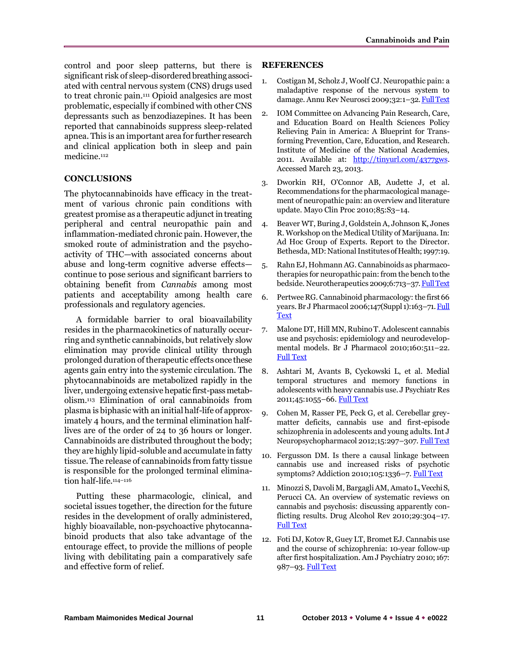control and poor sleep patterns, but there is significant risk of sleep-disordered breathing associated with central nervous system (CNS) drugs used to treat chronic pain.<sup>111</sup> Opioid analgesics are most problematic, especially if combined with other CNS depressants such as benzodiazepines. It has been reported that cannabinoids suppress sleep-related apnea. This is an important area for further research and clinical application both in sleep and pain medicine.<sup>112</sup>

#### **CONCLUSIONS**

The phytocannabinoids have efficacy in the treatment of various chronic pain conditions with greatest promise as a therapeutic adjunct in treating peripheral and central neuropathic pain and inflammation-mediated chronic pain. However, the smoked route of administration and the psychoactivity of THC—with associated concerns about abuse and long-term cognitive adverse effects continue to pose serious and significant barriers to obtaining benefit from *Cannabis* among most patients and acceptability among health care professionals and regulatory agencies.

A formidable barrier to oral bioavailability resides in the pharmacokinetics of naturally occurring and synthetic cannabinoids, but relatively slow elimination may provide clinical utility through prolonged duration of therapeutic effects once these agents gain entry into the systemic circulation. The phytocannabinoids are metabolized rapidly in the liver, undergoing extensive hepatic first-pass metabolism.<sup>113</sup> Elimination of oral cannabinoids from plasma is biphasic with an initial half-life of approximately 4 hours, and the terminal elimination halflives are of the order of 24 to 36 hours or longer. Cannabinoids are distributed throughout the body; they are highly lipid-soluble and accumulate in fatty tissue. The release of cannabinoids from fatty tissue is responsible for the prolonged terminal elimination half-life.114–<sup>116</sup>

Putting these pharmacologic, clinical, and societal issues together, the direction for the future resides in the development of orally administered, highly bioavailable, non-psychoactive phytocannabinoid products that also take advantage of the entourage effect, to provide the millions of people living with debilitating pain a comparatively safe and effective form of relief.

#### **REFERENCES**

- 1. Costigan M, Scholz J, Woolf CJ. Neuropathic pain: a maladaptive response of the nervous system to damage. Annu Rev Neurosci 2009;32:1–32[. Full Text](http://dx.doi.org/10.1146/annurev.neuro.051508.135531)
- 2. IOM Committee on Advancing Pain Research, Care, and Education Board on Health Sciences Policy Relieving Pain in America: A Blueprint for Transforming Prevention, Care, Education, and Research. Institute of Medicine of the National Academies, 2011. Available at: [http://tinyurl.com/4377gws.](http://tinyurl.com/4377gws) Accessed March 23, 2013.
- 3. Dworkin RH, O'Connor AB, Audette J, et al. Recommendations for the pharmacological management of neuropathic pain: an overview and literature update. Mayo Clin Proc 2010;85:S3–14.
- 4. Beaver WT, Buring J, Goldstein A, Johnson K, Jones R. Workshop on the Medical Utility of Marijuana. In: Ad Hoc Group of Experts. Report to the Director. Bethesda, MD: National Institutes of Health; 1997:19.
- 5. Rahn EJ, Hohmann AG. Cannabinoids as pharmacotherapies for neuropathic pain: from the bench to the bedside. Neurotherapeutics 2009;6:713–37[. Full Text](http://dx.doi.org/10.1016/j.nurt.2009.08.002)
- 6. Pertwee RG. Cannabinoid pharmacology: the first 66 years. Br J Pharmacol 2006;147(Suppl 1):163-71. Full **[Text](http://dx.doi.org/10.1038/sj.bjp.0706406)**
- 7. Malone DT, Hill MN, Rubino T. Adolescent cannabis use and psychosis: epidemiology and neurodevelopmental models. Br J Pharmacol 2010;160:511–22. [Full Text](http://dx.doi.org/10.1111/j.1476-5381.2010.00721.x)
- 8. Ashtari M, Avants B, Cyckowski L, et al. Medial temporal structures and memory functions in adolescents with heavy cannabis use. J Psychiatr Res 2011;45:1055–66[. Full Text](http://dx.doi.org/10.1016/j.jpsychires.2011.01.004)
- 9. Cohen M, Rasser PE, Peck G, et al. Cerebellar greymatter deficits, cannabis use and first-episode schizophrenia in adolescents and young adults. Int J Neuropsychopharmacol 2012;15:297–307[. Full Text](http://dx.doi.org/10.1017/S146114571100068X)
- 10. Fergusson DM. Is there a causal linkage between cannabis use and increased risks of psychotic symptoms? Addiction 2010;105:1336–7[. Full Text](http://dx.doi.org/10.1111/j.1360-0443.2010.02959.x)
- 11. Minozzi S, Davoli M, Bargagli AM, Amato L, Vecchi S, Perucci CA. An overview of systematic reviews on cannabis and psychosis: discussing apparently conflicting results. Drug Alcohol Rev 2010;29:304–17. [Full Text](http://dx.doi.org/10.1111/j.1465-3362.2009.00132.x)
- 12. Foti DJ, Kotov R, Guey LT, Bromet EJ. Cannabis use and the course of schizophrenia: 10-year follow-up after first hospitalization. Am J Psychiatry 2010; 167: 987–93[. Full Text](http://dx.doi.org/10.1176/appi.ajp.2010.09020189)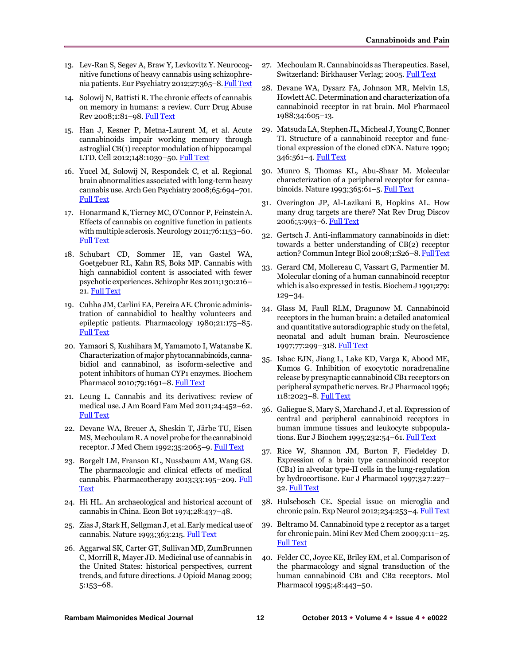- 13. Lev-Ran S, Segev A, Braw Y, Levkovitz Y. Neurocognitive functions of heavy cannabis using schizophrenia patients. Eur Psychiatry 2012;27:365–8[. Full Text](http://dx.doi.org/10.1016/j.eurpsy.2011.04.010)
- 14. Solowij N, Battisti R. The chronic effects of cannabis on memory in humans: a review. Curr Drug Abuse Rev 2008;1:81–98[. Full Text](http://dx.doi.org/10.2174/1874473710801010081)
- 15. Han J, Kesner P, Metna-Laurent M, et al. Acute cannabinoids impair working memory through astroglial CB(1) receptor modulation of hippocampal LTD. Cell 2012;148:1039–50[. Full Text](http://dx.doi.org/10.1016/j.cell.2012.01.037)
- 16. Yucel M, Solowij N, Respondek C, et al. Regional brain abnormalities associated with long-term heavy cannabis use. Arch Gen Psychiatry 2008;65:694–701. [Full Text](http://dx.doi.org/10.1001/archpsyc.65.6.694)
- 17. Honarmand K, Tierney MC, O'Connor P, Feinstein A. Effects of cannabis on cognitive function in patients with multiple sclerosis. Neurology 2011;76:1153–60. [Full Text](http://dx.doi.org/10.1212/WNL.0b013e318212ab0c)
- 18. Schubart CD, Sommer IE, van Gastel WA, Goetgebuer RL, Kahn RS, Boks MP. Cannabis with high cannabidiol content is associated with fewer psychotic experiences. Schizophr Res 2011;130:216– 21. [Full Text](http://dx.doi.org/10.1016/j.schres.2011.04.017)
- 19. Cuhha JM, Carlini EA, Pereira AE. Chronic administration of cannabidiol to healthy volunteers and epileptic patients. Pharmacology 1980;21:175–85. [Full Text](http://dx.doi.org/10.1159/000137430)
- 20. Yamaori S, Kushihara M, Yamamoto I, Watanabe K. Characterization of major phytocannabinoids, cannabidiol and cannabinol, as isoform-selective and potent inhibitors of human CYP1 enzymes. Biochem Pharmacol 2010;79:1691–8[. Full Text](http://dx.doi.org/10.1016/j.bcp.2010.01.028)
- 21. Leung L. Cannabis and its derivatives: review of medical use. J Am Board Fam Med 2011;24:452–62. [Full Text](http://dx.doi.org/10.3122/jabfm.2011.04.100280)
- 22. Devane WA, Breuer A, Sheskin T, Järbe TU, Eisen MS, Mechoulam R. A novel probe for the cannabinoid receptor. J Med Chem 1992;35:2065–9[. Full Text](http://dx.doi.org/10.1021/jm00089a018)
- 23. Borgelt LM, Franson KL, Nussbaum AM, Wang GS. The pharmacologic and clinical effects of medical cannabis. Pharmacotherapy 2013;33:195-209. Full **[Text](http://dx.doi.org/10.1002/phar.1187)**
- 24. Hi HL. An archaeological and historical account of cannabis in China. Econ Bot 1974;28:437–48.
- 25. Zias J, Stark H, Sellgman J, et al. Early medical use of cannabis. Nature 1993;363:215[. Full Text](http://dx.doi.org/10.1038/363215a0)
- 26. Aggarwal SK, Carter GT, Sullivan MD, ZumBrunnen C, Morrill R, Mayer JD. Medicinal use of cannabis in the United States: historical perspectives, current trends, and future directions. J Opioid Manag 2009; 5:153–68.
- 27. Mechoulam R. Cannabinoids as Therapeutics. Basel, Switzerland: Birkhauser Verlag; 2005[. Full Text](http://dx.doi.org/10.1007/3-7643-7358-X)
- 28. Devane WA, Dysarz FA, Johnson MR, Melvin LS, Howlett AC. Determination and characterization of a cannabinoid receptor in rat brain. Mol Pharmacol 1988;34:605–13.
- 29. Matsuda LA, Stephen JL, Micheal J, Young C, Bonner TI. Structure of a cannabinoid receptor and functional expression of the cloned cDNA. Nature 1990; 346:561–4[. Full Text](http://dx.doi.org/10.1038/346561a0)
- 30. Munro S, Thomas KL, Abu-Shaar M. Molecular characterization of a peripheral receptor for canna-binoids. Nature 1993;365:61-5[. Full Text](http://dx.doi.org/10.1038/365061a0)
- 31. Overington JP, Al-Lazikani B, Hopkins AL. How many drug targets are there? Nat Rev Drug Discov 2006;5:993–6[. Full Text](http://dx.doi.org/10.1038/nrd2199)
- 32. Gertsch J. Anti-inflammatory cannabinoids in diet: towards a better understanding of CB(2) receptor action? Commun Integr Biol 2008;1:S26–8[. Full Text](http://dx.doi.org/10.4161/cib.1.1.6568)
- 33. Gerard CM, Mollereau C, Vassart G, Parmentier M. Molecular cloning of a human cannabinoid receptor which is also expressed in testis. Biochem J 1991;279: 129–34.
- 34. Glass M, Faull RLM, Dragunow M. Cannabinoid receptors in the human brain: a detailed anatomical and quantitative autoradiographic study on the fetal, neonatal and adult human brain. Neuroscience 1997;77:299–318[. Full Text](http://dx.doi.org/10.1016/S0306-4522(96)00428-9)
- 35. Ishac EJN, Jiang L, Lake KD, Varga K, Abood ME, Kumos G. Inhibition of exocytotic noradrenaline release by presynaptic cannabinoid CB1 receptors on peripheral sympathetic nerves. Br J Pharmacol 1996; 118:2023–8[. Full Text](http://dx.doi.org/10.1111/j.1476-5381.1996.tb15639.x)
- 36. Galiegue S, Mary S, Marchand J, et al. Expression of central and peripheral cannabinoid receptors in human immune tissues and leukocyte subpopula-tions. Eur J Biochem 1995;232:54-61[. Full Text](http://dx.doi.org/10.1111/j.1432-1033.1995.tb20780.x)
- 37. Rice W, Shannon JM, Burton F, Fiedeldey D. Expression of a brain type cannabinoid receptor (CB1) in alveolar type-II cells in the lung-regulation by hydrocortisone. Eur J Pharmacol 1997;327:227– 32[. Full Text](http://dx.doi.org/10.1016/S0014-2999(97)89665-3)
- 38. Hulsebosch CE. Special issue on microglia and chronic pain. Exp Neurol 2012;234:253–4[. Full Text](http://dx.doi.org/10.1016/j.expneurol.2012.01.009)
- 39. Beltramo M. Cannabinoid type 2 receptor as a target for chronic pain. Mini Rev Med Chem 2009;9:11–25. [Full Text](http://dx.doi.org/10.2174/138955709787001785)
- 40. Felder CC, Joyce KE, Briley EM, et al. Comparison of the pharmacology and signal transduction of the human cannabinoid CB1 and CB2 receptors. Mol Pharmacol 1995;48:443–50.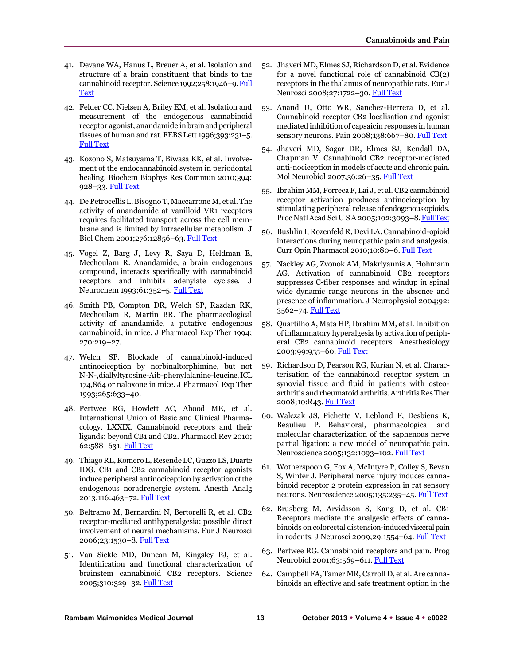- 41. Devane WA, Hanus L, Breuer A, et al. Isolation and structure of a brain constituent that binds to the cannabinoid receptor. Science 1992;258:1946-9. Full **[Text](http://dx.doi.org/10.1126/science.1470919)**
- 42. Felder CC, Nielsen A, Briley EM, et al. Isolation and measurement of the endogenous cannabinoid receptor agonist, anandamide in brain and peripheral tissues of human and rat. FEBS Lett 1996;393:231–5. [Full Text](http://dx.doi.org/10.1016/0014-5793(96)00891-5)
- 43. Kozono S, Matsuyama T, Biwasa KK, et al. Involvement of the endocannabinoid system in periodontal healing. Biochem Biophys Res Commun 2010;394: 928–33[. Full Text](http://dx.doi.org/10.1016/j.bbrc.2010.03.080)
- 44. De Petrocellis L, Bisogno T, Maccarrone M, et al. The activity of anandamide at vanilloid VR1 receptors requires facilitated transport across the cell membrane and is limited by intracellular metabolism. J Biol Chem 2001;276:12856–63[. Full Text](http://dx.doi.org/10.1074/jbc.M008555200)
- 45. Vogel Z, Barg J, Levy R, Saya D, Heldman E, Mechoulam R. Anandamide, a brain endogenous compound, interacts specifically with cannabinoid receptors and inhibits adenylate cyclase. J Neurochem 1993;61:352–5. [Full Text](http://dx.doi.org/10.1111/j.1471-4159.1993.tb03576.x)
- 46. Smith PB, Compton DR, Welch SP, Razdan RK, Mechoulam R, Martin BR. The pharmacological activity of anandamide, a putative endogenous cannabinoid, in mice. J Pharmacol Exp Ther 1994; 270:219–27.
- 47. Welch SP. Blockade of cannabinoid-induced antinociception by norbinaltorphimine, but not N-N-,diallyltyrosine-Aib-phenylalanine-leucine, ICL 174,864 or naloxone in mice. J Pharmacol Exp Ther 1993;265:633–40.
- 48. Pertwee RG, Howlett AC, Abood ME, et al. International Union of Basic and Clinical Pharmacology. LXXIX. Cannabinoid receptors and their ligands: beyond CB1 and CB2. Pharmacol Rev 2010; 62:588–631[. Full Text](http://dx.doi.org/10.1124/pr.110.003004)
- 49. Thiago RL, Romero L, Resende LC, Guzzo LS, Duarte IDG. CB1 and CB2 cannabinoid receptor agonists induce peripheral antinociception by activation of the endogenous noradrenergic system. Anesth Analg 2013;116:463–72[. Full Text](http://dx.doi.org/10.1213/ANE.0b013e3182707859)
- 50. Beltramo M, Bernardini N, Bertorelli R, et al. CB2 receptor-mediated antihyperalgesia: possible direct involvement of neural mechanisms. Eur J Neurosci 2006;23:1530–8[. Full Text](http://dx.doi.org/10.1111/j.1460-9568.2006.04684.x)
- 51. Van Sickle MD, Duncan M, Kingsley PJ, et al. Identification and functional characterization of brainstem cannabinoid CB2 receptors. Science 2005;310:329–32[. Full Text](http://dx.doi.org/10.1126/science.1115740)
- 52. Jhaveri MD, Elmes SJ, Richardson D, et al. Evidence for a novel functional role of cannabinoid CB(2) receptors in the thalamus of neuropathic rats. Eur J Neurosci 2008;27:1722–30[. Full Text](http://dx.doi.org/10.1111/j.1460-9568.2008.06162.x)
- 53. Anand U, Otto WR, Sanchez-Herrera D, et al. Cannabinoid receptor CB2 localisation and agonist mediated inhibition of capsaicin responses in human sensory neurons. Pain 2008;138:667–80[. Full Text](http://dx.doi.org/10.1016/j.pain.2008.06.007)
- 54. Jhaveri MD, Sagar DR, Elmes SJ, Kendall DA, Chapman V. Cannabinoid CB2 receptor-mediated anti-nociception in models of acute and chronic pain. Mol Neurobiol 2007;36:26–35[. Full Text](http://dx.doi.org/10.1007/s12035-007-8007-7)
- 55. Ibrahim MM, Porreca F, Lai J, et al. CB2 cannabinoid receptor activation produces antinociception by stimulating peripheral release of endogenous opioids. Proc Natl Acad Sci U SA 2005;102:3093–8[. Full Text](http://dx.doi.org/10.1073/pnas.0409888102)
- 56. Bushlin I, Rozenfeld R, Devi LA. Cannabinoid-opioid interactions during neuropathic pain and analgesia. Curr Opin Pharmacol 2010;10:80–6[. Full Text](http://dx.doi.org/10.1016/j.coph.2009.09.009)
- 57. Nackley AG, Zvonok AM, Makriyannis A, Hohmann AG. Activation of cannabinoid CB2 receptors suppresses C-fiber responses and windup in spinal wide dynamic range neurons in the absence and presence of inflammation. J Neurophysiol 2004;92: 3562–74[. Full Text](http://dx.doi.org/10.1152/jn.00886.2003)
- 58. Quartilho A, Mata HP, Ibrahim MM, et al. Inhibition of inflammatory hyperalgesia by activation of peripheral CB2 cannabinoid receptors. Anesthesiology 2003;99:955–60[. Full Text](http://dx.doi.org/10.1097/00000542-200310000-00031)
- 59. Richardson D, Pearson RG, Kurian N, et al. Characterisation of the cannabinoid receptor system in synovial tissue and fluid in patients with osteoarthritis and rheumatoid arthritis. Arthritis Res Ther 2008;10:R43[. Full Text](http://dx.doi.org/10.1186/ar2401)
- 60. Walczak JS, Pichette V, Leblond F, Desbiens K, Beaulieu P. Behavioral, pharmacological and molecular characterization of the saphenous nerve partial ligation: a new model of neuropathic pain. Neuroscience 2005;132:1093–102[. Full Text](http://dx.doi.org/10.1016/j.neuroscience.2005.02.010)
- 61. Wotherspoon G, Fox A, McIntyre P, Colley S, Bevan S, Winter J. Peripheral nerve injury induces cannabinoid receptor 2 protein expression in rat sensory neurons. Neuroscience 2005;135:235-45[. Full Text](http://dx.doi.org/10.1016/j.neuroscience.2005.06.009)
- 62. Brusberg M, Arvidsson S, Kang D, et al. CB1 Receptors mediate the analgesic effects of cannabinoids on colorectal distension-induced visceral pain in rodents. J Neurosci 2009;29:1554–64[. Full Text](http://dx.doi.org/10.1523/JNEUROSCI.5166-08.2009)
- 63. Pertwee RG. Cannabinoid receptors and pain. Prog Neurobiol 2001;63:569–611[. Full Text](http://dx.doi.org/10.1016/S0301-0082(00)00031-9)
- 64. Campbell FA, Tamer MR, Carroll D, et al. Are cannabinoids an effective and safe treatment option in the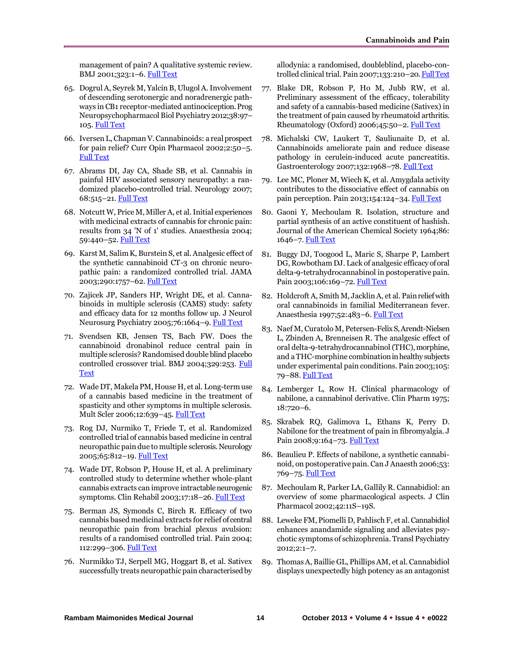management of pain? A qualitative systemic review. BMJ 2001;323:1–6[. Full Text](http://dx.doi.org/10.1136/bmj.323.7303.13)

- 65. Dogrul A, Seyrek M, Yalcin B, Ulugol A. Involvement of descending serotonergic and noradrenergic pathways in CB1 receptor-mediated antinociception. Prog Neuropsychopharmacol Biol Psychiatry 2012;38:97– 105[. Full Text](http://dx.doi.org/10.1016/j.pnpbp.2012.01.007)
- 66. Iversen L, Chapman V. Cannabinoids: a real prospect for pain relief? Curr Opin Pharmacol 2002;2:50–5. [Full Text](http://dx.doi.org/10.1016/S1471-4892(01)00120-5)
- 67. Abrams DI, Jay CA, Shade SB, et al. Cannabis in painful HIV associated sensory neuropathy: a randomized placebo-controlled trial. Neurology 2007; 68:515–21[. Full Text](http://dx.doi.org/10.1212/01.wnl.0000253187.66183.9c)
- 68. Notcutt W, Price M, Miller A, et al. Initial experiences with medicinal extracts of cannabis for chronic pain: results from 34 'N of 1' studies. Anaesthesia 2004; 59:440–52[. Full Text](http://dx.doi.org/10.1111/j.1365-2044.2004.03674.x)
- 69. Karst M, Salim K, Burstein S, et al. Analgesic effect of the synthetic cannabinoid CT-3 on chronic neuropathic pain: a randomized controlled trial. JAMA 2003;290:1757–62[. Full Text](http://dx.doi.org/10.1001/jama.290.13.1757)
- 70. Zajicek JP, Sanders HP, Wright DE, et al. Cannabinoids in multiple sclerosis (CAMS) study: safety and efficacy data for 12 months follow up. J Neurol Neurosurg Psychiatry 2005;76:1664–9[. Full Text](http://dx.doi.org/10.1136/jnnp.2005.070136)
- 71. Svendsen KB, Jensen TS, Bach FW. Does the cannabinoid dronabinol reduce central pain in multiple sclerosis? Randomised double blind placebo controlled crossover trial. BMJ 2004;329:253. [Full](http://dx.doi.org/10.1136/bmj.38149.566979.AE)  **[Text](http://dx.doi.org/10.1136/bmj.38149.566979.AE)**
- 72. Wade DT, Makela PM, House H, et al. Long-term use of a cannabis based medicine in the treatment of spasticity and other symptoms in multiple sclerosis. Mult Scler 2006;12:639–45[. Full Text](http://dx.doi.org/10.1177/1352458505070618)
- 73. Rog DJ, Nurmiko T, Friede T, et al. Randomized controlled trial of cannabis based medicine in central neuropathic pain due to multiple sclerosis. Neurology 2005;65:812–19[. Full Text](http://dx.doi.org/10.1212/01.wnl.0000176753.45410.8b)
- 74. Wade DT, Robson P, House H, et al. A preliminary controlled study to determine whether whole-plant cannabis extracts can improve intractable neurogenic symptoms. Clin Rehabil 2003;17:18–26[. Full Text](http://dx.doi.org/10.1191/0269215503cr581oa)
- 75. Berman JS, Symonds C, Birch R. Efficacy of two cannabis based medicinal extracts for relief of central neuropathic pain from brachial plexus avulsion: results of a randomised controlled trial. Pain 2004; 112:299–306[. Full Text](http://dx.doi.org/10.1016/j.pain.2004.09.013)
- 76. Nurmikko TJ, Serpell MG, Hoggart B, et al. Sativex successfully treats neuropathic pain characterised by

allodynia: a randomised, doubleblind, placebo-con-trolled clinical trial. Pain 2007;133:210-20[. Full Text](http://dx.doi.org/10.1016/j.pain.2007.08.028)

- 77. Blake DR, Robson P, Ho M, Jubb RW, et al. Preliminary assessment of the efficacy, tolerability and safety of a cannabis-based medicine (Sativex) in the treatment of pain caused by rheumatoid arthritis. Rheumatology (Oxford) 2006;45:50-2[. Full Text](http://dx.doi.org/10.1093/rheumatology/kei183)
- 78. Michalski CW, Laukert T, Sauliunaite D, et al. Cannabinoids ameliorate pain and reduce disease pathology in cerulein-induced acute pancreatitis. Gastroenterology 2007;132:1968–78[. Full Text](http://dx.doi.org/10.1053/j.gastro.2007.02.035)
- 79. Lee MC, Ploner M, Wiech K, et al. Amygdala activity contributes to the dissociative effect of cannabis on pain perception. Pain 2013;154:124–34[. Full Text](http://dx.doi.org/10.1016/j.pain.2012.09.017)
- 80. Gaoni Y, Mechoulam R. Isolation, structure and partial synthesis of an active constituent of hashish. Journal of the American Chemical Society 1964;86: 1646–7[. Full Text](http://dx.doi.org/10.1021/ja01062a046)
- 81. Buggy DJ, Toogood L, Maric S, Sharpe P, Lambert DG, Rowbotham DJ. Lack of analgesic efficacy of oral delta-9-tetrahydrocannabinol in postoperative pain. Pain 2003;106:169-72[. Full Text](http://dx.doi.org/10.1016/S0304-3959(03)00331-2)
- 82. Holdcroft A, Smith M, Jacklin A, et al. Pain relief with oral cannabinoids in familial Mediterranean fever. Anaesthesia 1997;52:483–6[. Full Text](http://dx.doi.org/10.1111/j.1365-2044.1997.139-az0132.x)
- 83. Naef M, Curatolo M, Petersen-Felix S, Arendt-Nielsen L, Zbinden A, Brenneisen R. The analgesic effect of oral delta-9-tetrahydrocannabinol (THC), morphine, and a THC-morphine combination in healthy subjects under experimental pain conditions. Pain 2003;105: 79-88[. Full Text](http://dx.doi.org/10.1016/S0304-3959(03)00163-5)
- 84. Lemberger L, Row H. Clinical pharmacology of nabilone, a cannabinol derivative. Clin Pharm 1975; 18:720–6.
- 85. Skrabek RQ, Galimova L, Ethans K, Perry D. Nabilone for the treatment of pain in fibromyalgia. J Pain 2008;9:164-73[. Full Text](http://dx.doi.org/10.1016/j.jpain.2007.09.002)
- 86. Beaulieu P. Effects of nabilone, a synthetic cannabinoid, on postoperative pain. Can J Anaesth 2006;53: 769–75[. Full Text](http://dx.doi.org/10.1007/BF03022793)
- 87. Mechoulam R, Parker LA, Gallily R. Cannabidiol: an overview of some pharmacological aspects. J Clin Pharmacol 2002;42:11S–19S.
- 88. Leweke FM, Piomelli D, Pahlisch F, et al. Cannabidiol enhances anandamide signaling and alleviates psychotic symptoms of schizophrenia. Transl Psychiatry 2012;2:1–7.
- 89. Thomas A, Baillie GL, Phillips AM, et al. Cannabidiol displays unexpectedly high potency as an antagonist